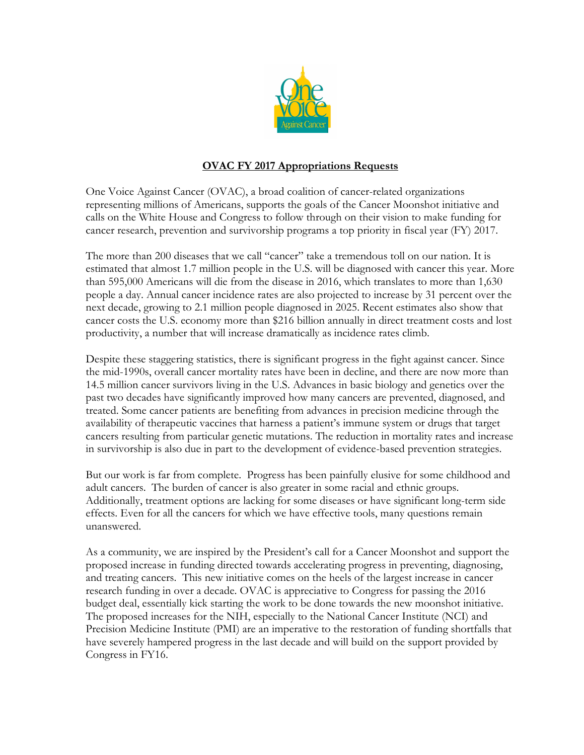

## **OVAC FY 2017 Appropriations Requests**

One Voice Against Cancer (OVAC), a broad coalition of cancer-related organizations representing millions of Americans, supports the goals of the Cancer Moonshot initiative and calls on the White House and Congress to follow through on their vision to make funding for cancer research, prevention and survivorship programs a top priority in fiscal year (FY) 2017.

The more than 200 diseases that we call "cancer" take a tremendous toll on our nation. It is estimated that almost 1.7 million people in the U.S. will be diagnosed with cancer this year. More than 595,000 Americans will die from the disease in 2016, which translates to more than 1,630 people a day. Annual cancer incidence rates are also projected to increase by 31 percent over the next decade, growing to 2.1 million people diagnosed in 2025. Recent estimates also show that cancer costs the U.S. economy more than \$216 billion annually in direct treatment costs and lost productivity, a number that will increase dramatically as incidence rates climb.

Despite these staggering statistics, there is significant progress in the fight against cancer. Since the mid-1990s, overall cancer mortality rates have been in decline, and there are now more than 14.5 million cancer survivors living in the U.S. Advances in basic biology and genetics over the past two decades have significantly improved how many cancers are prevented, diagnosed, and treated. Some cancer patients are benefiting from advances in precision medicine through the availability of therapeutic vaccines that harness a patient's immune system or drugs that target cancers resulting from particular genetic mutations. The reduction in mortality rates and increase in survivorship is also due in part to the development of evidence-based prevention strategies.

But our work is far from complete. Progress has been painfully elusive for some childhood and adult cancers. The burden of cancer is also greater in some racial and ethnic groups. Additionally, treatment options are lacking for some diseases or have significant long-term side effects. Even for all the cancers for which we have effective tools, many questions remain unanswered.

As a community, we are inspired by the President's call for a Cancer Moonshot and support the proposed increase in funding directed towards accelerating progress in preventing, diagnosing, and treating cancers. This new initiative comes on the heels of the largest increase in cancer research funding in over a decade. OVAC is appreciative to Congress for passing the 2016 budget deal, essentially kick starting the work to be done towards the new moonshot initiative. The proposed increases for the NIH, especially to the National Cancer Institute (NCI) and Precision Medicine Institute (PMI) are an imperative to the restoration of funding shortfalls that have severely hampered progress in the last decade and will build on the support provided by Congress in FY16.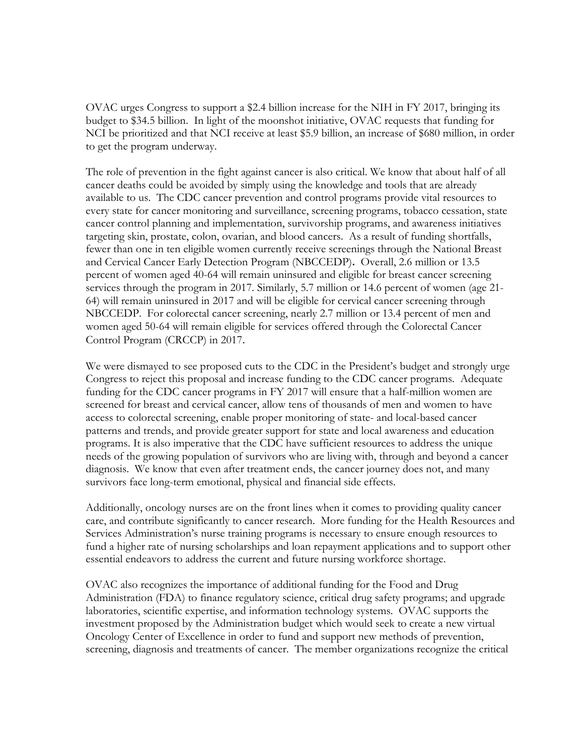OVAC urges Congress to support a \$2.4 billion increase for the NIH in FY 2017, bringing its budget to \$34.5 billion. In light of the moonshot initiative, OVAC requests that funding for NCI be prioritized and that NCI receive at least \$5.9 billion, an increase of \$680 million, in order to get the program underway.

The role of prevention in the fight against cancer is also critical. We know that about half of all cancer deaths could be avoided by simply using the knowledge and tools that are already available to us. The CDC cancer prevention and control programs provide vital resources to every state for cancer monitoring and surveillance, screening programs, tobacco cessation, state cancer control planning and implementation, survivorship programs, and awareness initiatives targeting skin, prostate, colon, ovarian, and blood cancers. As a result of funding shortfalls, fewer than one in ten eligible women currently receive screenings through the National Breast and Cervical Cancer Early Detection Program (NBCCEDP)**.** Overall, 2.6 million or 13.5 percent of women aged 40-64 will remain uninsured and eligible for breast cancer screening services through the program in 2017. Similarly, 5.7 million or 14.6 percent of women (age 21- 64) will remain uninsured in 2017 and will be eligible for cervical cancer screening through NBCCEDP. For colorectal cancer screening, nearly 2.7 million or 13.4 percent of men and women aged 50-64 will remain eligible for services offered through the Colorectal Cancer Control Program (CRCCP) in 2017.

We were dismayed to see proposed cuts to the CDC in the President's budget and strongly urge Congress to reject this proposal and increase funding to the CDC cancer programs. Adequate funding for the CDC cancer programs in FY 2017 will ensure that a half-million women are screened for breast and cervical cancer, allow tens of thousands of men and women to have access to colorectal screening, enable proper monitoring of state- and local-based cancer patterns and trends, and provide greater support for state and local awareness and education programs. It is also imperative that the CDC have sufficient resources to address the unique needs of the growing population of survivors who are living with, through and beyond a cancer diagnosis. We know that even after treatment ends, the cancer journey does not, and many survivors face long-term emotional, physical and financial side effects.

Additionally, oncology nurses are on the front lines when it comes to providing quality cancer care, and contribute significantly to cancer research. More funding for the Health Resources and Services Administration's nurse training programs is necessary to ensure enough resources to fund a higher rate of nursing scholarships and loan repayment applications and to support other essential endeavors to address the current and future nursing workforce shortage.

OVAC also recognizes the importance of additional funding for the Food and Drug Administration (FDA) to finance regulatory science, critical drug safety programs; and upgrade laboratories, scientific expertise, and information technology systems. OVAC supports the investment proposed by the Administration budget which would seek to create a new virtual Oncology Center of Excellence in order to fund and support new methods of prevention, screening, diagnosis and treatments of cancer. The member organizations recognize the critical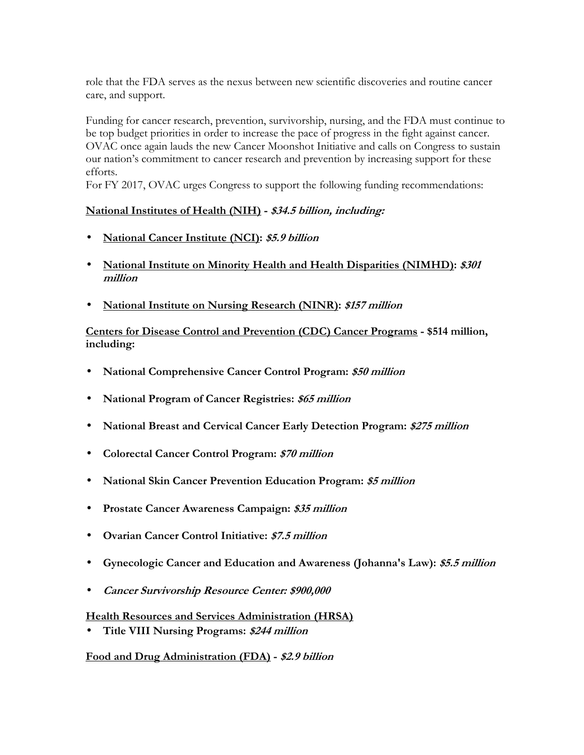role that the FDA serves as the nexus between new scientific discoveries and routine cancer care, and support.

Funding for cancer research, prevention, survivorship, nursing, and the FDA must continue to be top budget priorities in order to increase the pace of progress in the fight against cancer. OVAC once again lauds the new Cancer Moonshot Initiative and calls on Congress to sustain our nation's commitment to cancer research and prevention by increasing support for these efforts.

For FY 2017, OVAC urges Congress to support the following funding recommendations:

## **National Institutes of Health (NIH) - \$34.5 billion, including:**

- **National Cancer Institute (NCI): \$5.9 billion**
- **National Institute on Minority Health and Health Disparities (NIMHD): \$301 million**
- **National Institute on Nursing Research (NINR): \$157 million**

## **Centers for Disease Control and Prevention (CDC) Cancer Programs - \$514 million, including:**

- **National Comprehensive Cancer Control Program: \$50 million**
- **National Program of Cancer Registries: \$65 million**
- **National Breast and Cervical Cancer Early Detection Program: \$275 million**
- **Colorectal Cancer Control Program: \$70 million**
- **National Skin Cancer Prevention Education Program: \$5 million**
- **Prostate Cancer Awareness Campaign: \$35 million**
- **Ovarian Cancer Control Initiative: \$7.5 million**
- **Gynecologic Cancer and Education and Awareness (Johanna's Law): \$5.5 million**
- **Cancer Survivorship Resource Center: \$900,000**

### **Health Resources and Services Administration (HRSA)**

• **Title VIII Nursing Programs: \$244 million** 

**Food and Drug Administration (FDA) - \$2.9 billion**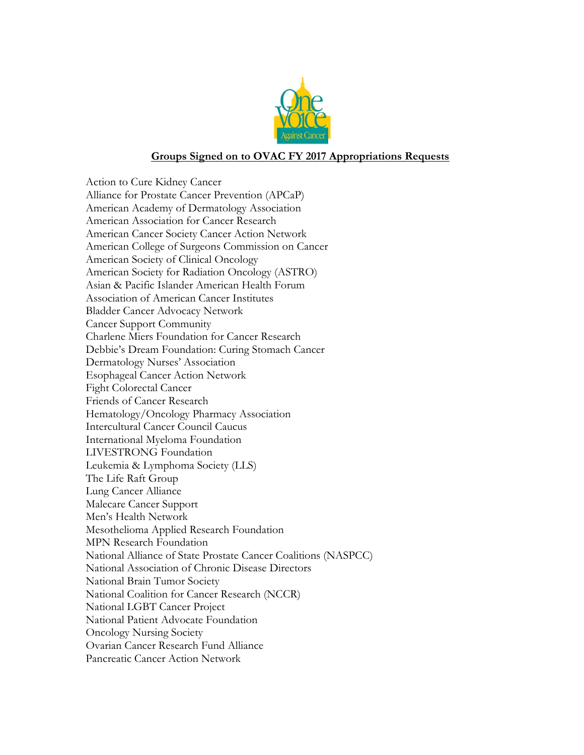

#### **Groups Signed on to OVAC FY 2017 Appropriations Requests**

Action to Cure Kidney Cancer Alliance for Prostate Cancer Prevention (APCaP) American Academy of Dermatology Association American Association for Cancer Research American Cancer Society Cancer Action Network American College of Surgeons Commission on Cancer American Society of Clinical Oncology American Society for Radiation Oncology (ASTRO) Asian & Pacific Islander American Health Forum Association of American Cancer Institutes Bladder Cancer Advocacy Network Cancer Support Community Charlene Miers Foundation for Cancer Research Debbie's Dream Foundation: Curing Stomach Cancer Dermatology Nurses' Association Esophageal Cancer Action Network Fight Colorectal Cancer Friends of Cancer Research Hematology/Oncology Pharmacy Association Intercultural Cancer Council Caucus International Myeloma Foundation LIVESTRONG Foundation Leukemia & Lymphoma Society (LLS) The Life Raft Group Lung Cancer Alliance Malecare Cancer Support Men's Health Network Mesothelioma Applied Research Foundation MPN Research Foundation National Alliance of State Prostate Cancer Coalitions (NASPCC) National Association of Chronic Disease Directors National Brain Tumor Society National Coalition for Cancer Research (NCCR) National LGBT Cancer Project National Patient Advocate Foundation Oncology Nursing Society Ovarian Cancer Research Fund Alliance Pancreatic Cancer Action Network